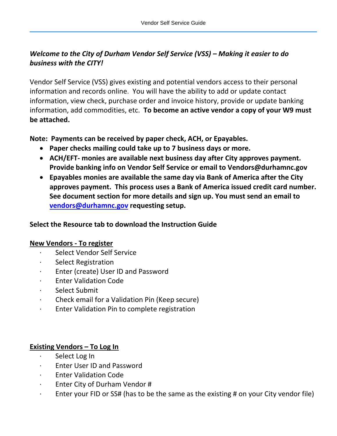# *Welcome to the City of Durham Vendor Self Service (VSS) – Making it easier to do business with the CITY!*

Vendor Self Service (VSS) gives existing and potential vendors access to their personal information and records online. You will have the ability to add or update contact information, view check, purchase order and invoice history, provide or update banking information, add commodities, etc. **To become an active vendor a copy of your W9 must be attached.**

**Note: Payments can be received by paper check, ACH, or Epayables.** 

- **Paper checks mailing could take up to 7 business days or more.**
- **ACH/EFT- monies are available next business day after City approves payment. Provide banking info on Vendor Self Service or email to Vendors@durhamnc.gov**
- **Epayables monies are available the same day via Bank of America after the City approves payment. This process uses a Bank of America issued credit card number. See document section for more details and sign up. You must send an email to [vendors@durhamnc.gov](mailto:vendors@durhamnc.gov) requesting setup.**

## **Select the Resource tab to download the Instruction Guide**

## **New Vendors - To register**

- Select Vendor Self Service
- Select Registration
- · Enter (create) User ID and Password
- **Enter Validation Code**
- Select Submit
- · Check email for a Validation Pin (Keep secure)
- Enter Validation Pin to complete registration

## **Existing Vendors – To Log In**

- Select Log In
- · Enter User ID and Password
- **Enter Validation Code**
- Enter City of Durham Vendor #
- Enter your FID or SS# (has to be the same as the existing # on your City vendor file)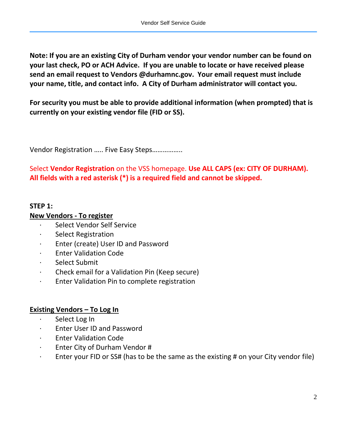**Note: If you are an existing City of Durham vendor your vendor number can be found on your last check, PO or ACH Advice. If you are unable to locate or have received please send an email request to Vendors @durhamnc.gov. Your email request must include your name, title, and contact info. A City of Durham administrator will contact you.**

**For security you must be able to provide additional information (when prompted) that is currently on your existing vendor file (FID or SS).**

Vendor Registration ….. Five Easy Steps……………..

Select **Vendor Registration** on the VSS homepage. **Use ALL CAPS (ex: CITY OF DURHAM). All fields with a red asterisk (\*) is a required field and cannot be skipped.**

## **STEP 1:**

## **New Vendors - To register**

- · Select Vendor Self Service
- · Select Registration
- · Enter (create) User ID and Password
- **Enter Validation Code**
- · Select Submit
- · Check email for a Validation Pin (Keep secure)
- · Enter Validation Pin to complete registration

## **Existing Vendors – To Log In**

- Select Log In
- · Enter User ID and Password
- · Enter Validation Code
- · Enter City of Durham Vendor #
- $\cdot$  Enter your FID or SS# (has to be the same as the existing # on your City vendor file)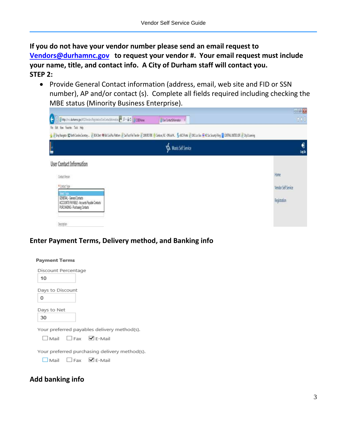**If you do not have your vendor number please send an email request to [Vendors@durhamnc.gov](mailto:Vendors@durhamnc.gov) to request your vendor #. Your email request must include your name, title, and contact info. A City of Durham staff will contact you. STEP 2:** 

• Provide General Contact information (address, email, web site and FID or SSN number), AP and/or contact (s). Complete all fields required including checking the MBE status (Minority Business Enterprise).

| File Edit New Favorite Tools Help                                                                            |                                                                                                                                                                                                                     |                     |
|--------------------------------------------------------------------------------------------------------------|---------------------------------------------------------------------------------------------------------------------------------------------------------------------------------------------------------------------|---------------------|
|                                                                                                              | S Englarger Clint Cerim Soday . 2 DA bet @ Hi Critic Parker 2 La Tuck Englar E School & Color, N. On Bill, Sell Press 2 UK Lockey SW Society Fire _ CHIRAL DITEUT 2 Oy Lleaving<br><b>V&amp; Munis Self Service</b> | ۹<br>logh           |
| User Contact Information                                                                                     |                                                                                                                                                                                                                     |                     |
| Costact Resum                                                                                                |                                                                                                                                                                                                                     | Hone                |
| # Costact Type                                                                                               |                                                                                                                                                                                                                     | Vendor Self Service |
| GENERAL-General Contacts<br>ACCOUNTS PAYABLE - Accounts Payable Contacts<br>PURCHASING - Purchasing Contacts |                                                                                                                                                                                                                     | Registration        |

## **Enter Payment Terms, Delivery method, and Banking info**

| <b>Payment Terms</b>                          |
|-----------------------------------------------|
| Discount Percentage                           |
| 10                                            |
| Days to Discount                              |
| 0                                             |
| Days to Net<br>30                             |
| Your preferred payables delivery method(s).   |
| $\Box$ Mail $\Box$ Fax $\Box$ E-Mail          |
| Your preferred purchasing delivery method(s). |
| $\Box$ Mail $\Box$ Fax $\Box$ E-Mail          |
|                                               |

### **Add banking info**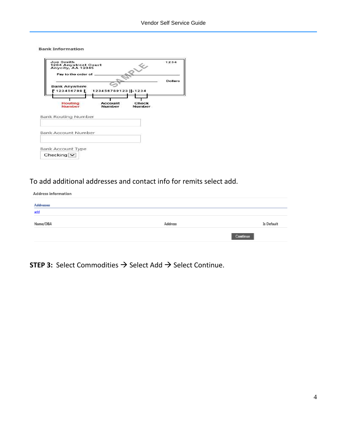**Bank Information** 

| Joe Smith<br>1234 Anystreet Court<br>Anycity, AA 12345 |                          |                        | 1234           |
|--------------------------------------------------------|--------------------------|------------------------|----------------|
| Pay to the order of                                    |                          |                        |                |
| <b>Bank Anywhere</b>                                   |                          |                        | <b>Dollars</b> |
| !1234567891                                            | 123456789123 1234        |                        |                |
| Routing<br><b>Number</b>                               | <b>Account</b><br>Number | Check<br><b>Number</b> |                |
| <b>Bank Routing Number</b>                             |                          |                        |                |
| Bank Account Number                                    |                          |                        |                |
| <b>Bank Account Type</b>                               |                          |                        |                |
| Checking $\vee$                                        |                          |                        |                |

## To add additional addresses and contact info for remits select add.

| <b>Address information</b> |         |            |
|----------------------------|---------|------------|
| <b>Addresses</b>           |         |            |
| add                        |         |            |
| Name/DBA                   | Address | Is Default |
|                            |         | Continue   |
|                            |         |            |

**STEP 3:** Select Commodities → Select Add → Select Continue.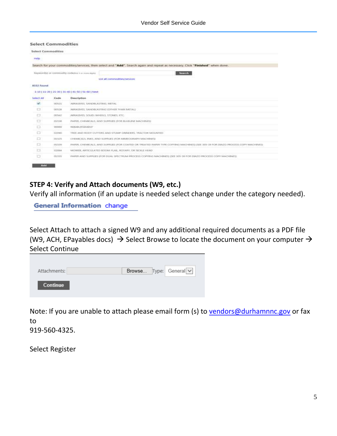#### **Select Commodities**

| Help              |         |                                                                                                                                 |
|-------------------|---------|---------------------------------------------------------------------------------------------------------------------------------|
|                   |         | Search for your commodities/services, then select and "Add". Search again and repeat as necessary. Click "Finished" when done.  |
|                   |         | Keyworritti) or commodity roderfuit i ar man algrici<br>-Sourch                                                                 |
|                   |         | List all commodities/services                                                                                                   |
| 0332 Found        |         |                                                                                                                                 |
|                   |         | 1-18   11-20   21-20   31-40   41-50   51-60   Next                                                                             |
| <b>Select All</b> | Code    | Description                                                                                                                     |
| 60                | BOSZL   | ABRASIVES, SANCIS ASTRUS, METAL                                                                                                 |
| $\Box$            | 00528   | ABRASIVES, SANDISASTING IDDHES THAN METALS                                                                                      |
| o                 | 00542   | ABRASIVES, SOLID: WHEELS, STONES, ETC.                                                                                          |
| tä                | 01538   | PAPER, CHEMICALS, AND SUPPLIES (FOR BUILDING MACHINES)                                                                          |
| o                 | 00002   | REDAILITSOMENT                                                                                                                  |
| O                 | 020905  | TREE AND ROOT CUTTERS AND STUMP GRINDERS. TRACTOR MOUNTED.                                                                      |
| ū                 | 01529   | CHEMICALS, INKS, AND SUPPLIES (FOR MIMEGISKAPH MACHINES)                                                                        |
| $\Box$            | 01339   | IVARES, CHEMICALE, AND SURRUSS (FOR COATED OR TREATED VARES TYPE CORVING MACHINES) (SEE 305-39 FOR OBASS PROCESS-COPY MACHINES) |
|                   | 1121164 | MIDWER, ARTICULATED BOOKE FLAIL, BOYARY, OR SICKES HEAD.                                                                        |
| $\Box$            |         |                                                                                                                                 |

#### **STEP 4: Verify and Attach documents (W9, etc.)**

Verify all information (if an update is needed select change under the category needed).

**General Information change** 

Select Attach to attach a signed W9 and any additional required documents as a PDF file (W9, ACH, EPayables docs)  $\rightarrow$  Select Browse to locate the document on your computer  $\rightarrow$ Select Continue

| Attachments:    |  | Browse Type: General v |
|-----------------|--|------------------------|
| <b>Continue</b> |  |                        |

Note: If you are unable to attach please email form (s) to [vendors@durhamnnc.gov](mailto:vendors@durhamnnc.gov) or fax to

919-560-4325.

Select Register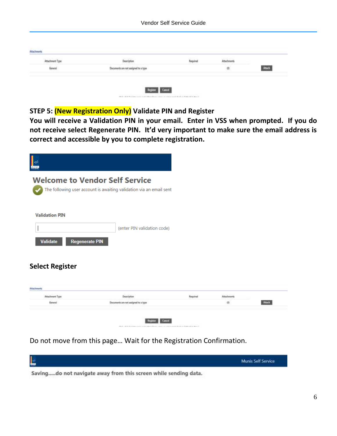|                  | Description                          | Repulsed | <b>Attachments</b> |  |
|------------------|--------------------------------------|----------|--------------------|--|
| $_{\rm Goviral}$ | Documents are not assigned to a type |          | $^\circledR$       |  |

### **STEP 5: (New Registration Only) Validate PIN and Register**

**You will receive a Validation PIN in your email. Enter in VSS when prompted. If you do not receive select Regenerate PIN. It'd very important to make sure the email address is correct and accessible by you to complete registration.**

| <b>I</b>                                 |                                                                                                              |          |                    |       |
|------------------------------------------|--------------------------------------------------------------------------------------------------------------|----------|--------------------|-------|
|                                          | <b>Welcome to Vendor Self Service</b><br>The following user account is awaiting validation via an email sent |          |                    |       |
| <b>Validation PIN</b>                    |                                                                                                              |          |                    |       |
|                                          | (enter PIN validation code)                                                                                  |          |                    |       |
| <b>Regenerate PIN</b><br><b>Validate</b> |                                                                                                              |          |                    |       |
| <b>Select Register</b>                   |                                                                                                              |          |                    |       |
| Attachesonts                             |                                                                                                              |          |                    |       |
| Attachment Type                          | Description                                                                                                  | Repulsed | <b>Attachments</b> |       |
|                                          | Documents are not assigned to a type                                                                         |          | $\overline{m}$     | Atach |

Do not move from this page… Wait for the Registration Confirmation.



Saving.....do not navigate away from this screen while sending data.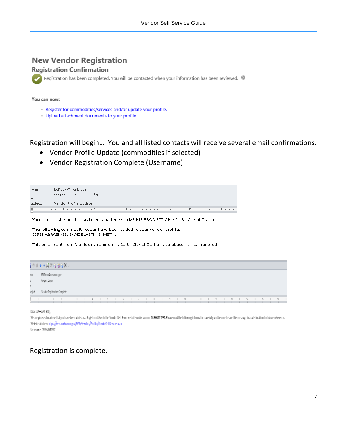# **New Vendor Registration**

#### **Registration Confirmation**

Registration has been completed. You will be contacted when your information has been reviewed. @

#### You can now:

- · Register for commodities/services and/or update your profile.
- · Upload attachment documents to your profile.

Registration will begin… You and all listed contacts will receive several email confirmations.

- Vendor Profile Update (commodities if selected)
- Vendor Registration Complete (Username)

| From:    | NoReply@munis.com            |
|----------|------------------------------|
| ÎΟ:      | Cooper, Joyce; Cooper, Joyce |
| Ec:      |                              |
| subject: | Vendor Profile Update        |
|          |                              |
|          |                              |

Your commodity profile has been updated with MUNIS PRODUCTION v.11.3 - City of Durham.

The following commodity codes have been added to your vendor profile: 00521 ABRASIVES, SANDBLASTING, METAL

This email sent from Munis environment: v.11.3 - City of Durham, database name: munprod



Dear DURHAM TEST,

We are pleased to advise that you have been added as a Registered User to the Vendor Self Serve website under account DURHAN TEST. Please read the following information carefully and be sure to save this message in a safe Website Address: https://mss.durhamnc.gov/MSS/Vendors/Profile/VendorSelfService.aspx

Usemanne: DURHANTEST

## Registration is complete.